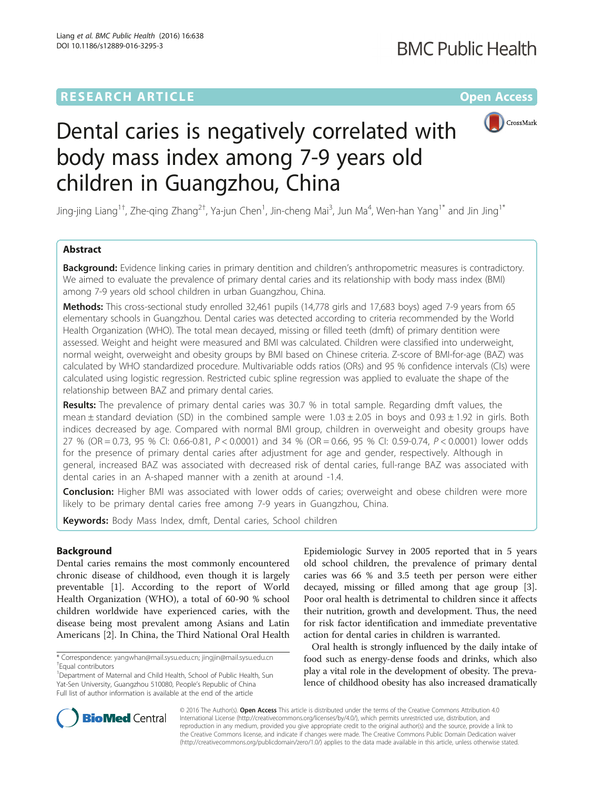# **RESEARCH ARTICLE External Structure Community Community Community Community Community Community Community Community**



# Dental caries is negatively correlated with body mass index among 7-9 years old children in Guangzhou, China

Jing-jing Liang $^{1\dagger}$ , Zhe-qing Zhang $^{2\dagger}$ , Ya-jun Chen $^1$ , Jin-cheng Mai $^3$ , Jun Ma $^4$ , Wen-han Yang $^{1*}$  and Jin Jing $^{1*}$ 

# Abstract

Background: Evidence linking caries in primary dentition and children's anthropometric measures is contradictory. We aimed to evaluate the prevalence of primary dental caries and its relationship with body mass index (BMI) among 7-9 years old school children in urban Guangzhou, China.

Methods: This cross-sectional study enrolled 32,461 pupils (14,778 girls and 17,683 boys) aged 7-9 years from 65 elementary schools in Guangzhou. Dental caries was detected according to criteria recommended by the World Health Organization (WHO). The total mean decayed, missing or filled teeth (dmft) of primary dentition were assessed. Weight and height were measured and BMI was calculated. Children were classified into underweight, normal weight, overweight and obesity groups by BMI based on Chinese criteria. Z-score of BMI-for-age (BAZ) was calculated by WHO standardized procedure. Multivariable odds ratios (ORs) and 95 % confidence intervals (CIs) were calculated using logistic regression. Restricted cubic spline regression was applied to evaluate the shape of the relationship between BAZ and primary dental caries.

Results: The prevalence of primary dental caries was 30.7 % in total sample. Regarding dmft values, the mean  $\pm$  standard deviation (SD) in the combined sample were  $1.03 \pm 2.05$  in boys and  $0.93 \pm 1.92$  in girls. Both indices decreased by age. Compared with normal BMI group, children in overweight and obesity groups have 27 % (OR = 0.73, 95 % CI: 0.66-0.81, P < 0.0001) and 34 % (OR = 0.66, 95 % CI: 0.59-0.74, P < 0.0001) lower odds for the presence of primary dental caries after adjustment for age and gender, respectively. Although in general, increased BAZ was associated with decreased risk of dental caries, full-range BAZ was associated with dental caries in an A-shaped manner with a zenith at around -1.4.

**Conclusion:** Higher BMI was associated with lower odds of caries; overweight and obese children were more likely to be primary dental caries free among 7-9 years in Guangzhou, China.

Keywords: Body Mass Index, dmft, Dental caries, School children

# Background

Dental caries remains the most commonly encountered chronic disease of childhood, even though it is largely preventable [\[1](#page-6-0)]. According to the report of World Health Organization (WHO), a total of 60-90 % school children worldwide have experienced caries, with the disease being most prevalent among Asians and Latin Americans [[2\]](#page-6-0). In China, the Third National Oral Health

Epidemiologic Survey in 2005 reported that in 5 years old school children, the prevalence of primary dental caries was 66 % and 3.5 teeth per person were either decayed, missing or filled among that age group [\[3](#page-6-0)]. Poor oral health is detrimental to children since it affects their nutrition, growth and development. Thus, the need for risk factor identification and immediate preventative action for dental caries in children is warranted.

Oral health is strongly influenced by the daily intake of food such as energy-dense foods and drinks, which also play a vital role in the development of obesity. The prevalence of childhood obesity has also increased dramatically



© 2016 The Author(s). Open Access This article is distributed under the terms of the Creative Commons Attribution 4.0 International License [\(http://creativecommons.org/licenses/by/4.0/](http://creativecommons.org/licenses/by/4.0/)), which permits unrestricted use, distribution, and reproduction in any medium, provided you give appropriate credit to the original author(s) and the source, provide a link to the Creative Commons license, and indicate if changes were made. The Creative Commons Public Domain Dedication waiver [\(http://creativecommons.org/publicdomain/zero/1.0/](http://creativecommons.org/publicdomain/zero/1.0/)) applies to the data made available in this article, unless otherwise stated.

<sup>\*</sup> Correspondence: [yangwhan@mail.sysu.edu.cn](mailto:yangwhan@mail.sysu.edu.cn); [jingjin@mail.sysu.edu.cn](mailto:jingjin@mail.sysu.edu.cn) † <sup>+</sup>Equal contributors

<sup>&</sup>lt;sup>1</sup> Department of Maternal and Child Health, School of Public Health, Sun Yat-Sen University, Guangzhou 510080, People's Republic of China Full list of author information is available at the end of the article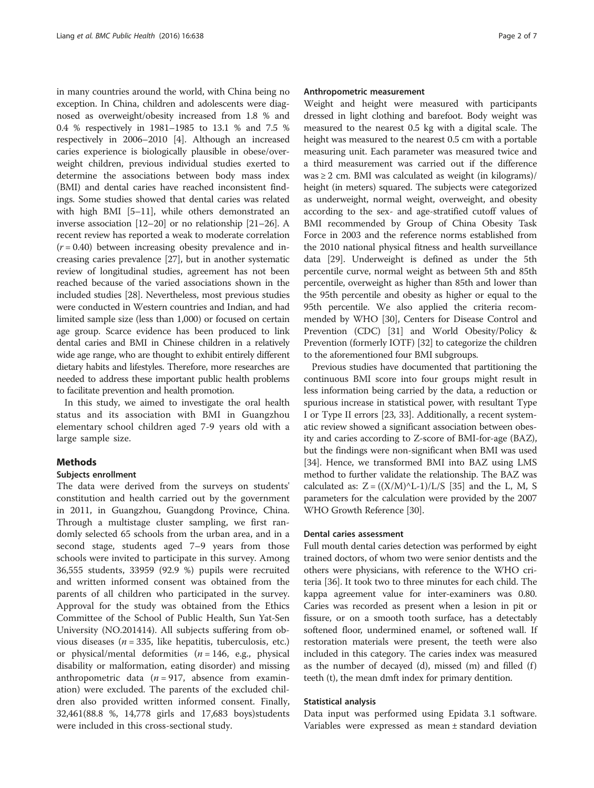in many countries around the world, with China being no exception. In China, children and adolescents were diagnosed as overweight/obesity increased from 1.8 % and 0.4 % respectively in 1981–1985 to 13.1 % and 7.5 % respectively in 2006–2010 [\[4\]](#page-6-0). Although an increased caries experience is biologically plausible in obese/overweight children, previous individual studies exerted to determine the associations between body mass index (BMI) and dental caries have reached inconsistent findings. Some studies showed that dental caries was related with high BMI [[5](#page-6-0)–[11\]](#page-6-0), while others demonstrated an inverse association [[12](#page-6-0)–[20\]](#page-6-0) or no relationship [[21](#page-6-0)–[26\]](#page-6-0). A recent review has reported a weak to moderate correlation  $(r = 0.40)$  between increasing obesity prevalence and increasing caries prevalence [\[27\]](#page-6-0), but in another systematic review of longitudinal studies, agreement has not been reached because of the varied associations shown in the included studies [\[28\]](#page-6-0). Nevertheless, most previous studies were conducted in Western countries and Indian, and had limited sample size (less than 1,000) or focused on certain age group. Scarce evidence has been produced to link dental caries and BMI in Chinese children in a relatively wide age range, who are thought to exhibit entirely different dietary habits and lifestyles. Therefore, more researches are needed to address these important public health problems to facilitate prevention and health promotion.

In this study, we aimed to investigate the oral health status and its association with BMI in Guangzhou elementary school children aged 7-9 years old with a large sample size.

# Methods

#### Subjects enrollment

The data were derived from the surveys on students' constitution and health carried out by the government in 2011, in Guangzhou, Guangdong Province, China. Through a multistage cluster sampling, we first randomly selected 65 schools from the urban area, and in a second stage, students aged 7–9 years from those schools were invited to participate in this survey. Among 36,555 students, 33959 (92.9 %) pupils were recruited and written informed consent was obtained from the parents of all children who participated in the survey. Approval for the study was obtained from the Ethics Committee of the School of Public Health, Sun Yat-Sen University (NO.201414). All subjects suffering from obvious diseases ( $n = 335$ , like hepatitis, tuberculosis, etc.) or physical/mental deformities  $(n = 146, e.g., physical)$ disability or malformation, eating disorder) and missing anthropometric data ( $n = 917$ , absence from examination) were excluded. The parents of the excluded children also provided written informed consent. Finally, 32,461(88.8 %, 14,778 girls and 17,683 boys)students were included in this cross-sectional study.

#### Anthropometric measurement

Weight and height were measured with participants dressed in light clothing and barefoot. Body weight was measured to the nearest 0.5 kg with a digital scale. The height was measured to the nearest 0.5 cm with a portable measuring unit. Each parameter was measured twice and a third measurement was carried out if the difference was  $\geq$  2 cm. BMI was calculated as weight (in kilograms)/ height (in meters) squared. The subjects were categorized as underweight, normal weight, overweight, and obesity according to the sex- and age-stratified cutoff values of BMI recommended by Group of China Obesity Task Force in 2003 and the reference norms established from the 2010 national physical fitness and health surveillance data [\[29](#page-6-0)]. Underweight is defined as under the 5th percentile curve, normal weight as between 5th and 85th percentile, overweight as higher than 85th and lower than the 95th percentile and obesity as higher or equal to the 95th percentile. We also applied the criteria recommended by WHO [\[30\]](#page-6-0), Centers for Disease Control and Prevention (CDC) [[31](#page-6-0)] and World Obesity/Policy & Prevention (formerly IOTF) [[32](#page-6-0)] to categorize the children to the aforementioned four BMI subgroups.

Previous studies have documented that partitioning the continuous BMI score into four groups might result in less information being carried by the data, a reduction or spurious increase in statistical power, with resultant Type I or Type II errors [\[23](#page-6-0), [33\]](#page-6-0). Additionally, a recent systematic review showed a significant association between obesity and caries according to Z-score of BMI-for-age (BAZ), but the findings were non-significant when BMI was used [[34](#page-6-0)]. Hence, we transformed BMI into BAZ using LMS method to further validate the relationship. The BAZ was calculated as:  $Z = ((X/M)^{1} - 1)/L/S$  [[35](#page-6-0)] and the L, M, S parameters for the calculation were provided by the 2007 WHO Growth Reference [[30](#page-6-0)].

# Dental caries assessment

Full mouth dental caries detection was performed by eight trained doctors, of whom two were senior dentists and the others were physicians, with reference to the WHO criteria [\[36](#page-6-0)]. It took two to three minutes for each child. The kappa agreement value for inter-examiners was 0.80. Caries was recorded as present when a lesion in pit or fissure, or on a smooth tooth surface, has a detectably softened floor, undermined enamel, or softened wall. If restoration materials were present, the teeth were also included in this category. The caries index was measured as the number of decayed  $(d)$ , missed  $(m)$  and filled  $(f)$ teeth (t), the mean dmft index for primary dentition.

#### Statistical analysis

Data input was performed using Epidata 3.1 software. Variables were expressed as mean ± standard deviation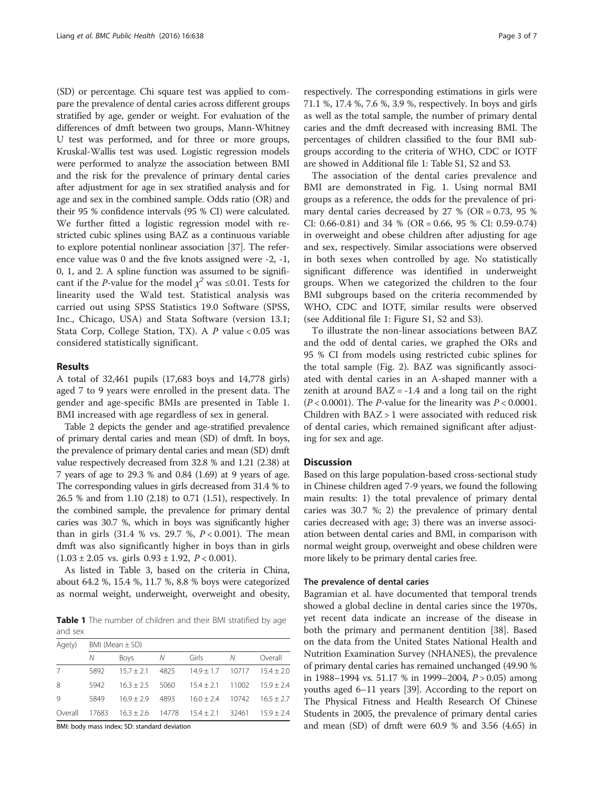(SD) or percentage. Chi square test was applied to compare the prevalence of dental caries across different groups stratified by age, gender or weight. For evaluation of the differences of dmft between two groups, Mann-Whitney U test was performed, and for three or more groups, Kruskal-Wallis test was used. Logistic regression models were performed to analyze the association between BMI and the risk for the prevalence of primary dental caries after adjustment for age in sex stratified analysis and for age and sex in the combined sample. Odds ratio (OR) and their 95 % confidence intervals (95 % CI) were calculated. We further fitted a logistic regression model with restricted cubic splines using BAZ as a continuous variable to explore potential nonlinear association [\[37\]](#page-6-0). The reference value was 0 and the five knots assigned were -2, -1, 0, 1, and 2. A spline function was assumed to be significant if the *P*-value for the model  $\chi^2$  was ≤0.01. Tests for linearity used the Wald test. Statistical analysis was carried out using SPSS Statistics 19.0 Software (SPSS, Inc., Chicago, USA) and Stata Software (version 13.1; Stata Corp, College Station, TX). A P value < 0.05 was considered statistically significant.

# Results

A total of 32,461 pupils (17,683 boys and 14,778 girls) aged 7 to 9 years were enrolled in the present data. The gender and age-specific BMIs are presented in Table 1. BMI increased with age regardless of sex in general.

Table [2](#page-3-0) depicts the gender and age-stratified prevalence of primary dental caries and mean (SD) of dmft. In boys, the prevalence of primary dental caries and mean (SD) dmft value respectively decreased from 32.8 % and 1.21 (2.38) at 7 years of age to 29.3 % and 0.84 (1.69) at 9 years of age. The corresponding values in girls decreased from 31.4 % to 26.5 % and from 1.10 (2.18) to 0.71 (1.51), respectively. In the combined sample, the prevalence for primary dental caries was 30.7 %, which in boys was significantly higher than in girls  $(31.4 %$  vs. 29.7%,  $P < 0.001$ ). The mean dmft was also significantly higher in boys than in girls  $(1.03 \pm 2.05 \text{ vs. girls } 0.93 \pm 1.92, P < 0.001).$ 

As listed in Table [3,](#page-3-0) based on the criteria in China, about 64.2 %, 15.4 %, 11.7 %, 8.8 % boys were categorized as normal weight, underweight, overweight and obesity,

Table 1 The number of children and their BMI stratified by age and sex

| Age(y)  | BMI (Mean $\pm$ SD) |                   |      |                                                              |   |         |  |  |  |  |  |
|---------|---------------------|-------------------|------|--------------------------------------------------------------|---|---------|--|--|--|--|--|
|         | Ν                   | <b>Boys</b>       | N    | Girls                                                        | N | Overall |  |  |  |  |  |
| -7      | 5892                | $15.7 + 2.1$      | 4825 | $14.9 + 1.7$ $10717$ $15.4 + 2.0$                            |   |         |  |  |  |  |  |
| -8      | 5942                | $16.3 + 2.5$ 5060 |      | $15.4 \pm 2.1$ $11002$ $15.9 \pm 2.4$                        |   |         |  |  |  |  |  |
| -9      | 5849                | $16.9 + 2.9$ 4893 |      | $16.0 + 2.4$ $10742$ $16.5 + 2.7$                            |   |         |  |  |  |  |  |
| Overall | 17683               |                   |      | $16.3 \pm 2.6$ $14778$ $15.4 \pm 2.1$ $32461$ $15.9 \pm 2.4$ |   |         |  |  |  |  |  |

BMI: body mass index; SD: standard deviation

respectively. The corresponding estimations in girls were 71.1 %, 17.4 %, 7.6 %, 3.9 %, respectively. In boys and girls as well as the total sample, the number of primary dental caries and the dmft decreased with increasing BMI. The percentages of children classified to the four BMI subgroups according to the criteria of WHO, CDC or IOTF are showed in Additional file [1](#page-5-0): Table S1, S2 and S3.

The association of the dental caries prevalence and BMI are demonstrated in Fig. [1.](#page-4-0) Using normal BMI groups as a reference, the odds for the prevalence of primary dental caries decreased by 27 % (OR = 0.73, 95 % CI: 0.66-0.81) and 34 % (OR = 0.66, 95 % CI: 0.59-0.74) in overweight and obese children after adjusting for age and sex, respectively. Similar associations were observed in both sexes when controlled by age. No statistically significant difference was identified in underweight groups. When we categorized the children to the four BMI subgroups based on the criteria recommended by WHO, CDC and IOTF, similar results were observed (see Additional file [1:](#page-5-0) Figure S1, S2 and S3).

To illustrate the non-linear associations between BAZ and the odd of dental caries, we graphed the ORs and 95 % CI from models using restricted cubic splines for the total sample (Fig. [2\)](#page-4-0). BAZ was significantly associated with dental caries in an A-shaped manner with a zenith at around  $BAZ = -1.4$  and a long tail on the right ( $P < 0.0001$ ). The *P*-value for the linearity was  $P < 0.0001$ . Children with BAZ > 1 were associated with reduced risk of dental caries, which remained significant after adjusting for sex and age.

# **Discussion**

Based on this large population-based cross-sectional study in Chinese children aged 7-9 years, we found the following main results: 1) the total prevalence of primary dental caries was 30.7 %; 2) the prevalence of primary dental caries decreased with age; 3) there was an inverse association between dental caries and BMI, in comparison with normal weight group, overweight and obese children were more likely to be primary dental caries free.

## The prevalence of dental caries

Bagramian et al. have documented that temporal trends showed a global decline in dental caries since the 1970s, yet recent data indicate an increase of the disease in both the primary and permanent dentition [\[38\]](#page-6-0). Based on the data from the United States National Health and Nutrition Examination Survey (NHANES), the prevalence of primary dental caries has remained unchanged (49.90 % in 1988–1994 vs. 51.17 % in 1999–2004, P > 0.05) among youths aged 6–11 years [\[39\]](#page-6-0). According to the report on The Physical Fitness and Health Research Of Chinese Students in 2005, the prevalence of primary dental caries and mean (SD) of dmft were 60.9 % and 3.56 (4.65) in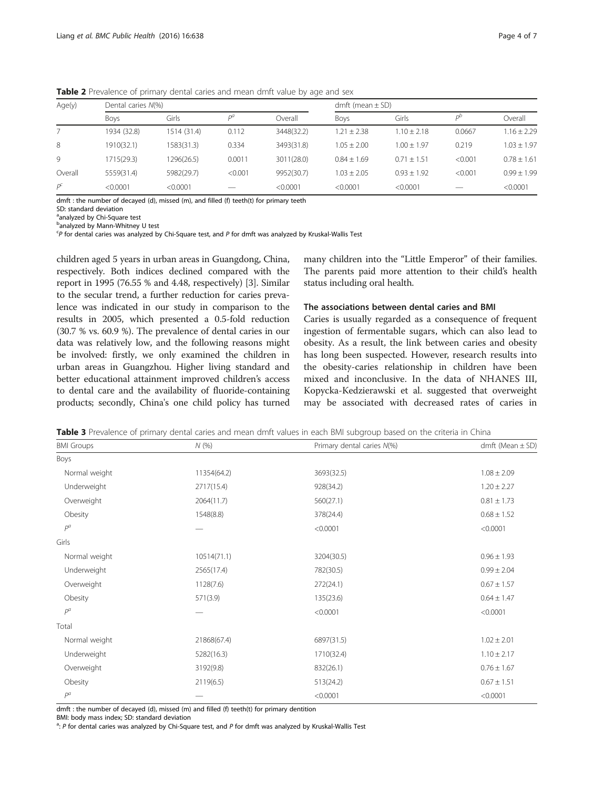| Age(y)  | Dental caries N(%) |             |                |            |                 | dmft (mean $\pm$ SD) |         |                 |  |  |  |  |
|---------|--------------------|-------------|----------------|------------|-----------------|----------------------|---------|-----------------|--|--|--|--|
|         | <b>Boys</b>        | Girls       | D <sup>α</sup> | Overall    | Boys            | Girls                | ď       | Overall         |  |  |  |  |
|         | 1934 (32.8)        | 1514 (31.4) | 0.112          | 3448(32.2) | $1.21 \pm 2.38$ | $1.10 + 2.18$        | 0.0667  | $1.16 \pm 2.29$ |  |  |  |  |
| 8       | 1910(32.1)         | 1583(31.3)  | 0.334          | 3493(31.8) | $1.05 \pm 2.00$ | $1.00 \pm 1.97$      | 0.219   | $1.03 \pm 1.97$ |  |  |  |  |
| 9       | 1715(29.3)         | 296(26.5)   | 0.0011         | 3011(28.0) | $0.84 + 1.69$   | $0.71 + 1.51$        | < 0.001 | $0.78 + 1.61$   |  |  |  |  |
| Overall | 5559(31.4)         | 5982(29.7)  | < 0.001        | 9952(30.7) | $1.03 + 2.05$   | $0.93 + 1.92$        | < 0.001 | $0.99 + 1.99$   |  |  |  |  |
| $P^{c}$ | < 0.0001           | < 0.0001    |                | < 0.0001   | < 0.0001        | < 0.0001             |         | < 0.0001        |  |  |  |  |

<span id="page-3-0"></span>Table 2 Prevalence of primary dental caries and mean dmft value by age and sex

dmft : the number of decayed (d), missed (m), and filled (f) teeth(t) for primary teeth

SD: standard deviation

<sup>a</sup>analyzed by Chi-Square test

banalyzed by Mann-Whitney U test

P for dental caries was analyzed by Chi-Square test, and P for dmft was analyzed by Kruskal-Wallis Test

children aged 5 years in urban areas in Guangdong, China, respectively. Both indices declined compared with the report in 1995 (76.55 % and 4.48, respectively) [\[3](#page-6-0)]. Similar to the secular trend, a further reduction for caries prevalence was indicated in our study in comparison to the results in 2005, which presented a 0.5-fold reduction (30.7 % vs. 60.9 %). The prevalence of dental caries in our data was relatively low, and the following reasons might be involved: firstly, we only examined the children in urban areas in Guangzhou. Higher living standard and better educational attainment improved children's access to dental care and the availability of fluoride-containing products; secondly, China's one child policy has turned

many children into the "Little Emperor" of their families. The parents paid more attention to their child's health status including oral health.

#### The associations between dental caries and BMI

Caries is usually regarded as a consequence of frequent ingestion of fermentable sugars, which can also lead to obesity. As a result, the link between caries and obesity has long been suspected. However, research results into the obesity-caries relationship in children have been mixed and inconclusive. In the data of NHANES III, Kopycka-Kedzierawski et al. suggested that overweight may be associated with decreased rates of caries in

| <b>Table 3</b> Prevalence of primary dental caries and mean dmft values in each BMI subgroup based on the criteria in China |  |  |  |  |  |  |  |  |  |  |  |  |  |  |
|-----------------------------------------------------------------------------------------------------------------------------|--|--|--|--|--|--|--|--|--|--|--|--|--|--|
|-----------------------------------------------------------------------------------------------------------------------------|--|--|--|--|--|--|--|--|--|--|--|--|--|--|

| <b>BMI Groups</b> | N(%)        | Primary dental caries N(%) | dmft (Mean $\pm$ SD) |  |  |
|-------------------|-------------|----------------------------|----------------------|--|--|
| Boys              |             |                            |                      |  |  |
| Normal weight     | 11354(64.2) | 3693(32.5)                 | $1.08 \pm 2.09$      |  |  |
| Underweight       | 2717(15.4)  | 928(34.2)                  | $1.20 \pm 2.27$      |  |  |
| Overweight        | 2064(11.7)  | 560(27.1)                  | $0.81 \pm 1.73$      |  |  |
| Obesity           | 1548(8.8)   | 378(24.4)                  | $0.68 \pm 1.52$      |  |  |
| $P^a$             |             | < 0.0001                   | < 0.0001             |  |  |
| Girls             |             |                            |                      |  |  |
| Normal weight     | 10514(71.1) | 3204(30.5)                 | $0.96 \pm 1.93$      |  |  |
| Underweight       | 2565(17.4)  | 782(30.5)                  | $0.99 \pm 2.04$      |  |  |
| Overweight        | 1128(7.6)   | 272(24.1)                  | $0.67 \pm 1.57$      |  |  |
| Obesity           | 571(3.9)    | 135(23.6)                  | $0.64 \pm 1.47$      |  |  |
| $P^a$             |             | < 0.0001                   | < 0.0001             |  |  |
| Total             |             |                            |                      |  |  |
| Normal weight     | 21868(67.4) | 6897(31.5)                 | $1.02 \pm 2.01$      |  |  |
| Underweight       | 5282(16.3)  | 1710(32.4)                 | $1.10 \pm 2.17$      |  |  |
| Overweight        | 3192(9.8)   | 832(26.1)                  | $0.76 \pm 1.67$      |  |  |
| Obesity           | 2119(6.5)   | 513(24.2)                  | $0.67 \pm 1.51$      |  |  |
| $P^a$             |             | < 0.0001                   | < 0.0001             |  |  |

dmft : the number of decayed (d), missed (m) and filled (f) teeth(t) for primary dentition

BMI: body mass index; SD: standard deviation

<sup>a</sup>: P for dental caries was analyzed by Chi-Square test, and P for dmft was analyzed by Kruskal-Wallis Test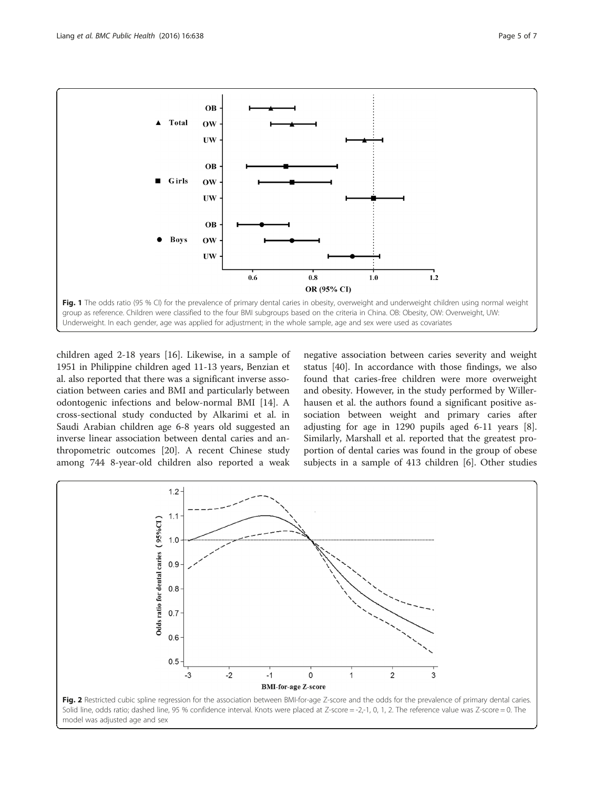<span id="page-4-0"></span>

children aged 2-18 years [\[16\]](#page-6-0). Likewise, in a sample of 1951 in Philippine children aged 11-13 years, Benzian et al. also reported that there was a significant inverse association between caries and BMI and particularly between odontogenic infections and below-normal BMI [[14\]](#page-6-0). A cross-sectional study conducted by Alkarimi et al. in Saudi Arabian children age 6-8 years old suggested an inverse linear association between dental caries and anthropometric outcomes [\[20\]](#page-6-0). A recent Chinese study among 744 8-year-old children also reported a weak

negative association between caries severity and weight status [[40\]](#page-6-0). In accordance with those findings, we also found that caries-free children were more overweight and obesity. However, in the study performed by Willerhausen et al. the authors found a significant positive association between weight and primary caries after adjusting for age in 1290 pupils aged 6-11 years [\[8](#page-6-0)]. Similarly, Marshall et al. reported that the greatest proportion of dental caries was found in the group of obese subjects in a sample of 413 children [\[6](#page-6-0)]. Other studies

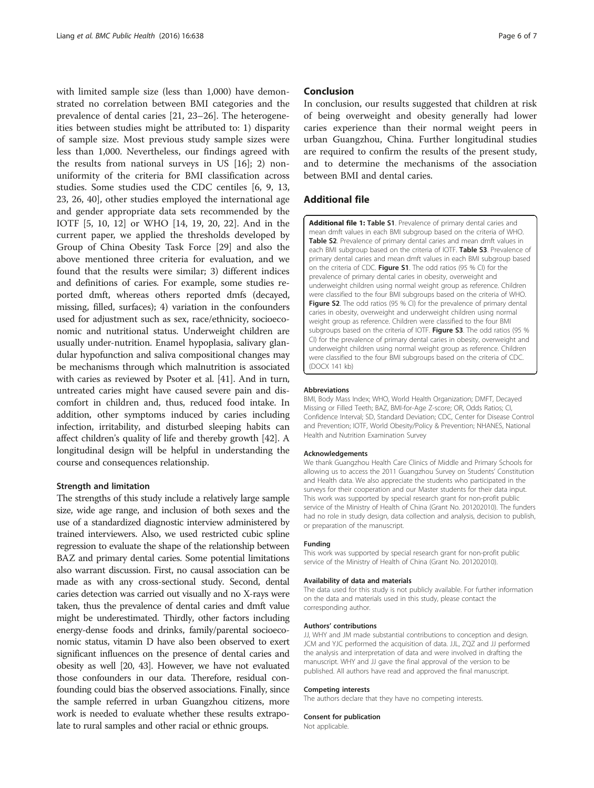<span id="page-5-0"></span>with limited sample size (less than 1,000) have demonstrated no correlation between BMI categories and the prevalence of dental caries [[21, 23](#page-6-0)–[26\]](#page-6-0). The heterogeneities between studies might be attributed to: 1) disparity of sample size. Most previous study sample sizes were less than 1,000. Nevertheless, our findings agreed with the results from national surveys in US [[16\]](#page-6-0); 2) nonuniformity of the criteria for BMI classification across studies. Some studies used the CDC centiles [[6](#page-6-0), [9, 13](#page-6-0), [23, 26, 40](#page-6-0)], other studies employed the international age and gender appropriate data sets recommended by the IOTF [[5, 10, 12\]](#page-6-0) or WHO [\[14](#page-6-0), [19](#page-6-0), [20](#page-6-0), [22](#page-6-0)]. And in the current paper, we applied the thresholds developed by Group of China Obesity Task Force [[29](#page-6-0)] and also the above mentioned three criteria for evaluation, and we found that the results were similar; 3) different indices and definitions of caries. For example, some studies reported dmft, whereas others reported dmfs (decayed, missing, filled, surfaces); 4) variation in the confounders used for adjustment such as sex, race/ethnicity, socioeconomic and nutritional status. Underweight children are usually under-nutrition. Enamel hypoplasia, salivary glandular hypofunction and saliva compositional changes may be mechanisms through which malnutrition is associated with caries as reviewed by Psoter et al. [\[41\]](#page-6-0). And in turn, untreated caries might have caused severe pain and discomfort in children and, thus, reduced food intake. In addition, other symptoms induced by caries including infection, irritability, and disturbed sleeping habits can affect children's quality of life and thereby growth [[42](#page-6-0)]. A longitudinal design will be helpful in understanding the course and consequences relationship.

#### Strength and limitation

The strengths of this study include a relatively large sample size, wide age range, and inclusion of both sexes and the use of a standardized diagnostic interview administered by trained interviewers. Also, we used restricted cubic spline regression to evaluate the shape of the relationship between BAZ and primary dental caries. Some potential limitations also warrant discussion. First, no causal association can be made as with any cross-sectional study. Second, dental caries detection was carried out visually and no X-rays were taken, thus the prevalence of dental caries and dmft value might be underestimated. Thirdly, other factors including energy-dense foods and drinks, family/parental socioeconomic status, vitamin D have also been observed to exert significant influences on the presence of dental caries and obesity as well [\[20, 43\]](#page-6-0). However, we have not evaluated those confounders in our data. Therefore, residual confounding could bias the observed associations. Finally, since the sample referred in urban Guangzhou citizens, more work is needed to evaluate whether these results extrapolate to rural samples and other racial or ethnic groups.

# Conclusion

In conclusion, our results suggested that children at risk of being overweight and obesity generally had lower caries experience than their normal weight peers in urban Guangzhou, China. Further longitudinal studies are required to confirm the results of the present study, and to determine the mechanisms of the association between BMI and dental caries.

# Additional file

[Additional file 1:](dx.doi.org/10.1186/s12889-016-3295-3) Table S1. Prevalence of primary dental caries and mean dmft values in each BMI subgroup based on the criteria of WHO. Table S2. Prevalence of primary dental caries and mean dmft values in each BMI subgroup based on the criteria of IOTF. Table S3. Prevalence of primary dental caries and mean dmft values in each BMI subgroup based on the criteria of CDC. Figure S1. The odd ratios (95 % CI) for the prevalence of primary dental caries in obesity, overweight and underweight children using normal weight group as reference. Children were classified to the four BMI subgroups based on the criteria of WHO. Figure S2. The odd ratios (95 % CI) for the prevalence of primary dental caries in obesity, overweight and underweight children using normal weight group as reference. Children were classified to the four BMI subgroups based on the criteria of IOTF. Figure S3. The odd ratios (95 % CI) for the prevalence of primary dental caries in obesity, overweight and underweight children using normal weight group as reference. Children were classified to the four BMI subgroups based on the criteria of CDC. (DOCX 141 kb)

#### Abbreviations

BMI, Body Mass Index; WHO, World Health Organization; DMFT, Decayed Missing or Filled Teeth; BAZ, BMI-for-Age Z-score; OR, Odds Ratios; CI, Confidence Interval; SD, Standard Deviation; CDC, Center for Disease Control and Prevention; IOTF, World Obesity/Policy & Prevention; NHANES, National Health and Nutrition Examination Survey

#### Acknowledgements

We thank Guangzhou Health Care Clinics of Middle and Primary Schools for allowing us to access the 2011 Guangzhou Survey on Students' Constitution and Health data. We also appreciate the students who participated in the surveys for their cooperation and our Master students for their data input. This work was supported by special research grant for non-profit public service of the Ministry of Health of China (Grant No. 201202010). The funders had no role in study design, data collection and analysis, decision to publish, or preparation of the manuscript.

#### Funding

This work was supported by special research grant for non-profit public service of the Ministry of Health of China (Grant No. 201202010).

#### Availability of data and materials

The data used for this study is not publicly available. For further information on the data and materials used in this study, please contact the corresponding author.

#### Authors' contributions

JJ, WHY and JM made substantial contributions to conception and design. JCM and YJC performed the acquisition of data. JJL, ZQZ and JJ performed the analysis and interpretation of data and were involved in drafting the manuscript. WHY and JJ gave the final approval of the version to be published. All authors have read and approved the final manuscript.

#### Competing interests

The authors declare that they have no competing interests.

#### Consent for publication

Not applicable.